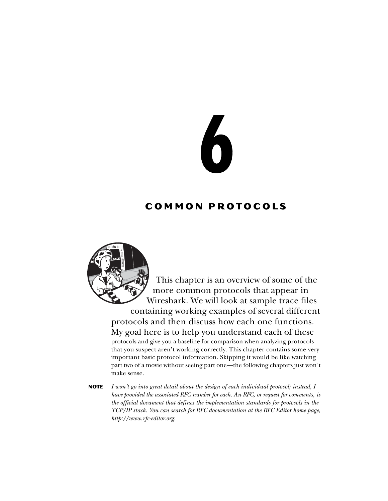# 6

# **COMMON PROTOCOLS**



This chapter is an overview of some of the more common protocols that appear in Wireshark. We will look at sample trace files containing working examples of several different protocols and then discuss how each one functions. My goal here is to help you understand each of these protocols and give you a baseline for comparison when analyzing protocols that you suspect aren't working correctly. This chapter contains some very important basic protocol information. Skipping it would be like watching part two of a movie without seeing part one—the following chapters just won't make sense.

**NOTE** *I won't go into great detail about the design of each individual protocol; instead, I have provided the associated RFC number for each. An RFC, or request for comments, is the official document that defines the implementation standards for protocols in the TCP/IP stack. You can search for RFC documentation at the RFC Editor home page, http://www.rfc-editor.org.*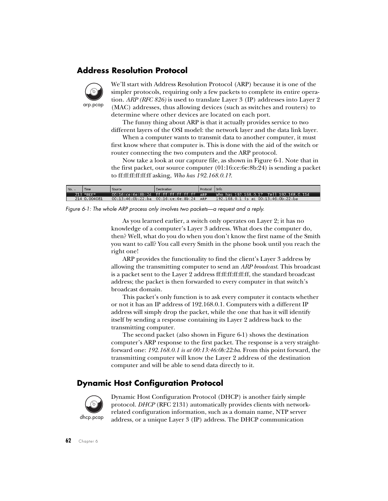# **Address Resolution Protocol**



We'll start with Address Resolution Protocol (ARP) because it is one of the simpler protocols, requiring only a few packets to complete its entire operation. *ARP (RFC 826)* is used to translate Layer 3 (IP) addresses into Layer 2 (MAC) addresses, thus allowing devices (such as switches and routers) to determine where other devices are located on each port.

The funny thing about ARP is that it actually provides service to two different layers of the OSI model: the network layer and the data link layer.

When a computer wants to transmit data to another computer, it must first know where that computer is. This is done with the aid of the switch or router connecting the two computers and the ARP protocol.

Now take a look at our capture file, as shown in Figure 6-1. Note that in the first packet, our source computer (01:16:ce:6e:8b:24) is sending a packet to ff:ff:ff:ff:ff:ff asking, *Who has 192.168.0.1?*.

| No.        | Time         | Source                                  | Destination | Protocol Info |                                         |
|------------|--------------|-----------------------------------------|-------------|---------------|-----------------------------------------|
| $713*RFF*$ |              | $00:16:ce:6e:8b:24$ $ff:ff:ff:ff:ff:ff$ |             | ARP           | who has 192.168.0.1? Tell 192.168.0.114 |
|            | 214 0.004081 | $00:13:46:0b:22:ba$ $00:16:ce:6e:8b:24$ |             | ARP           | 192.168.0.1 is at 00:13:46:0b:22:ba     |



As you learned earlier, a switch only operates on Layer 2; it has no knowledge of a computer's Layer 3 address. What does the computer do, then? Well, what do you do when you don't know the first name of the Smith you want to call? You call every Smith in the phone book until you reach the right one!

ARP provides the functionality to find the client's Layer 3 address by allowing the transmitting computer to send an *ARP broadcast*. This broadcast is a packet sent to the Layer 2 address ff:ff:ff:ff:ff:ff, the standard broadcast address; the packet is then forwarded to every computer in that switch's broadcast domain.

This packet's only function is to ask every computer it contacts whether or not it has an IP address of 192.168.0.1. Computers with a different IP address will simply drop the packet, while the one that has it will identify itself by sending a response containing its Layer 2 address back to the transmitting computer.

The second packet (also shown in Figure 6-1) shows the destination computer's ARP response to the first packet. The response is a very straightforward one: *192.168.0.1 is at 00:13:46:0b:22:ba*. From this point forward, the transmitting computer will know the Layer 2 address of the destination computer and will be able to send data directly to it.

# **Dynamic Host Configuration Protocol**



Dynamic Host Configuration Protocol (DHCP) is another fairly simple protocol. *DHCP* (RFC 2131) automatically provides clients with networkrelated configuration information, such as a domain name, NTP server address, or a unique Layer 3 (IP) address. The DHCP communication

**62** Chapter 6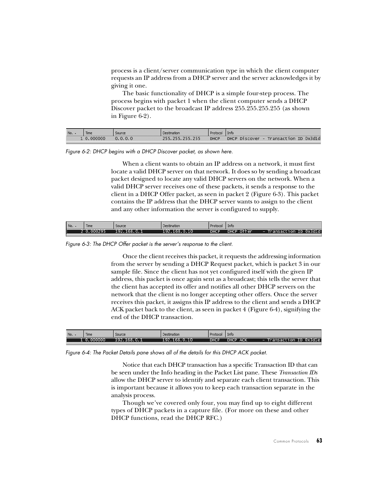process is a client/server communication type in which the client computer requests an IP address from a DHCP server and the server acknowledges it by giving it one.

The basic functionality of DHCP is a simple four-step process. The process begins with packet 1 when the client computer sends a DHCP Discover packet to the broadcast IP address 255.255.255.255 (as shown in Figure 6-2).

| No. | Time     | Source  | <b>Destination</b> | Protocol    | l Info                                |
|-----|----------|---------|--------------------|-------------|---------------------------------------|
|     | 0.000000 | 0.0.0.0 | )55 255 255 255    | <b>DHCP</b> | DHCP Discover - Transaction ID 0x3d1d |

*Figure 6-2: DHCP begins with a DHCP Discover packet, as shown here.*

When a client wants to obtain an IP address on a network, it must first locate a valid DHCP server on that network. It does so by sending a broadcast packet designed to locate any valid DHCP servers on the network. When a valid DHCP server receives one of these packets, it sends a response to the client in a DHCP Offer packet, as seen in packet 2 (Figure 6-3). This packet contains the IP address that the DHCP server wants to assign to the client and any other information the server is configured to supply.

| No. | ime        | Source           | Destination  | Protocol    | l Info     |                       |
|-----|------------|------------------|--------------|-------------|------------|-----------------------|
|     | 2 0.000295 | 1.168.0.1<br>192 | 192.168.0.10 | <b>DHCP</b> | DHCP OTTer | Transaction ID 0x3d1d |

*Figure 6-3: The DHCP Offer packet is the server's response to the client.*

Once the client receives this packet, it requests the addressing information from the server by sending a DHCP Request packet, which is packet 3 in our sample file. Since the client has not yet configured itself with the given IP address, this packet is once again sent as a broadcast; this tells the server that the client has accepted its offer and notifies all other DHCP servers on the network that the client is no longer accepting other offers. Once the server receives this packet, it assigns this IP address to the client and sends a DHCP ACK packet back to the client, as seen in packet 4 (Figure 6-4), signifying the end of the DHCP transaction.

| No. | Time       | Source      | Jestinatior  | Protocol    | I Info   |                         |
|-----|------------|-------------|--------------|-------------|----------|-------------------------|
|     | 1 0.000000 | 192.168.0.1 | 192.168.0.10 | <b>DHCP</b> | DHCP ACK | - Transaction ID 0x3dle |

*Figure 6-4: The Packet Details pane shows all of the details for this DHCP ACK packet.*

Notice that each DHCP transaction has a specific Transaction ID that can be seen under the Info heading in the Packet List pane. These *Transaction IDs* allow the DHCP server to identify and separate each client transaction. This is important because it allows you to keep each transaction separate in the analysis process.

Though we've covered only four, you may find up to eight different types of DHCP packets in a capture file. (For more on these and other DHCP functions, read the DHCP RFC.)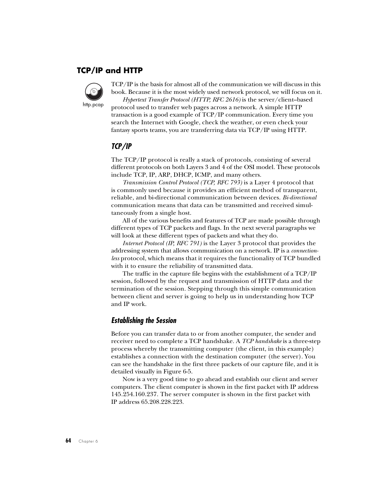# **TCP/IP and HTTP**



TCP/IP is the basis for almost all of the communication we will discuss in this book. Because it is the most widely used network protocol, we will focus on it.

*Hypertext Transfer Protocol (HTTP, RFC 2616)* is the server/client–based protocol used to transfer web pages across a network. A simple HTTP transaction is a good example of TCP/IP communication. Every time you search the Internet with Google, check the weather, or even check your fantasy sports teams, you are transferring data via TCP/IP using HTTP.

### *TCP/IP*

The TCP/IP protocol is really a stack of protocols, consisting of several different protocols on both Layers 3 and 4 of the OSI model. These protocols include TCP, IP, ARP, DHCP, ICMP, and many others.

*Transmission Control Protocol (TCP, RFC 793)* is a Layer 4 protocol that is commonly used because it provides an efficient method of transparent, reliable, and bi-directional communication between devices. *Bi-directional* communication means that data can be transmitted and received simultaneously from a single host.

All of the various benefits and features of TCP are made possible through different types of TCP packets and flags. In the next several paragraphs we will look at these different types of packets and what they do.

*Internet Protocol (IP, RFC 791)* is the Layer 3 protocol that provides the addressing system that allows communication on a network. IP is a *connectionless* protocol, which means that it requires the functionality of TCP bundled with it to ensure the reliability of transmitted data.

The traffic in the capture file begins with the establishment of a TCP/IP session, followed by the request and transmission of HTTP data and the termination of the session. Stepping through this simple communication between client and server is going to help us in understanding how TCP and IP work.

#### *Establishing the Session*

Before you can transfer data to or from another computer, the sender and receiver need to complete a TCP handshake. A *TCP handshake* is a three-step process whereby the transmitting computer (the client, in this example) establishes a connection with the destination computer (the server). You can see the handshake in the first three packets of our capture file, and it is detailed visually in Figure 6-5.

Now is a very good time to go ahead and establish our client and server computers. The client computer is shown in the first packet with IP address 145.254.160.237. The server computer is shown in the first packet with IP address 65.208.228.223.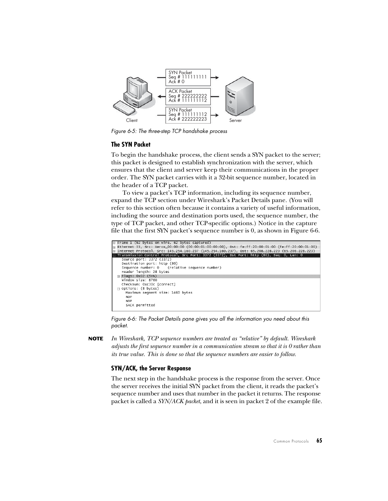

*Figure 6-5: The three-step TCP handshake process*

#### **The SYN Packet**

To begin the handshake process, the client sends a SYN packet to the server; this packet is designed to establish synchronization with the server, which ensures that the client and server keep their communications in the proper order. The SYN packet carries with it a 32-bit sequence number, located in the header of a TCP packet.

To view a packet's TCP information, including its sequence number, expand the TCP section under Wireshark's Packet Details pane. (You will refer to this section often because it contains a variety of useful information, including the source and destination ports used, the sequence number, the type of TCP packet, and other TCP-specific options.) Notice in the capture file that the first SYN packet's sequence number is 0, as shown in Figure 6-6.

| $\boxplus$ Frame 1 (62 bytes on wire, 62 bytes captured)                                           |
|----------------------------------------------------------------------------------------------------|
| ⊞ Ethernet II, Src: Xerox_00:00:00 (00:00:01:00:00:00), Dst: fe:ff:20:00:01:00 (fe:ff:20:00:01:00) |
| ⊞ Internet Protocol, Src: 145.254.160.237 (145.254.160.237), Dst: 65.208.228.223 (65.208.228.223)  |
| $\Box$ Transmission Control Protocol, Src Port: 3372 (3372), Dst Port: http (80), Seq: 0, Len: 0   |
| Source port: 3372 (3372)                                                                           |
| Destination port: http (80)                                                                        |
| Sequence number: 0 (relative sequence number)                                                      |
| Header length: 28 bytes                                                                            |
| $\overline{H}$ Flags: 0x02 (SYN)                                                                   |
| Window size: 8760                                                                                  |
| Checksum: 0xc30c [correct]                                                                         |
| $\Box$ Options: (8 bytes)                                                                          |
| Maximum segment size: 1460 bytes                                                                   |
| <b>NOP</b>                                                                                         |
| <b>NOP</b>                                                                                         |
| SACK permitted                                                                                     |
|                                                                                                    |

*Figure 6-6: The Packet Details pane gives you all the information you need about this packet.*

**NOTE** *In Wireshark, TCP sequence numbers are treated as "relative" by default. Wireshark adjusts the first sequence number in a communication stream so that it is 0 rather than its true value. This is done so that the sequence numbers are easier to follow.*

#### **SYN/ACK, the Server Response**

The next step in the handshake process is the response from the server. Once the server receives the initial SYN packet from the client, it reads the packet's sequence number and uses that number in the packet it returns. The response packet is called a *SYN/ACK packet*, and it is seen in packet 2 of the example file.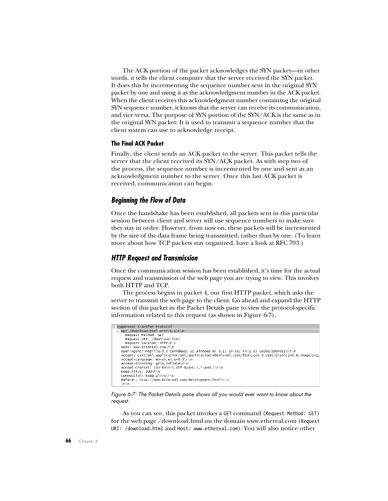The ACK portion of the packet acknowledges the SYN packet—in other words, it tells the client computer that the server received the SYN packet. It does this by incrementing the sequence number sent in the original SYN packet by one and using it as the acknowledgment number in the ACK packet. When the client receives this acknowledgment number containing the original SYN sequence number, it knows that the server can receive its communication, and vice versa. The purpose of SYN portion of the SYN/ACK is the same as in the original SYN packet: It is used to transmit a sequence number that the client system can use to acknowledge receipt.

#### **The Final ACK Packet**

Finally, the client sends an ACK packet to the server. This packet tells the server that the client received its SYN/ACK packet. As with step two of the process, the sequence number is incremented by one and sent as an acknowledgment number to the server. Once this last ACK packet is received, communication can begin.

#### *Beginning the Flow of Data*

Once the handshake has been established, all packets sent in this particular session between client and server will use sequence numbers to make sure they stay in order. However, from now on, these packets will be incremented by the size of the data frame being transmitted, rather than by one. (To learn more about how TCP packets stay organized, have a look at RFC 793.)

#### *HTTP Request and Transmission*

Once the communication session has been established, it's time for the actual request and transmission of the web page you are trying to view. This involves both HTTP and TCP.

The process begins in packet 4, our first HTTP packet, which asks the server to transmit the web page to the client. Go ahead and expand the HTTP section of this packet in the Packet Details pane to view the protocol-specific information related to this request (as shown in Figure 6-7).

| Hypertext Transfer Protocol                                                                                               |
|---------------------------------------------------------------------------------------------------------------------------|
| $\exists$ GET /download.html HTTP/1.1\r\n                                                                                 |
| Request Method: GET                                                                                                       |
| Request URI: /download.html                                                                                               |
| Request Version: HTTP/1.1                                                                                                 |
| Host: www.ethereal.com\r\n                                                                                                |
| User-Agent: Mozilla/5.0 (Windows; U; Windows NT 5.1; en-US; rv:1.6) Gecko/20040113\r\n                                    |
| $Accept: text /xm1, application /xm1, application /xmin1, \\x$ + $m1, text /html; q=0.9, text /plain; q=0.8, image /pnq,$ |
| Accept-Language: en-us, en; q=0.5\r\n                                                                                     |
| Accept-Encoding: gzip, deflate\r\n                                                                                        |
| Accept-Charset: ISO-8859-1, utf-8; q=0.7, *; q=0.7\r\n                                                                    |
| Keep-Alive: 300\r\n                                                                                                       |
| Connection: keep-alive\r\n                                                                                                |
| Referer: http://www.ethereal.com/development.html\r\n                                                                     |
| \r\n                                                                                                                      |
|                                                                                                                           |

*Figure 6-7: The Packet Details pane shows all you would ever want to know about the request.*

As you can see, this packet invokes a GET command (Request Method: GET) for the web page /download.html on the domain www.ethereal.com (Request URI: /download.html and Host: www.ethereal.com). You will also notice other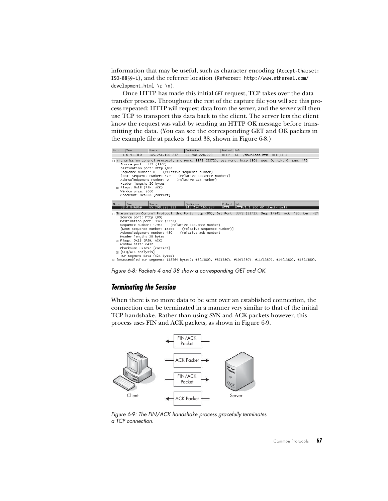information that may be useful, such as character encoding (Accept-Charset: ISO-8859-1), and the referrer location (Referrer: http://www.ethereal.com/ development.html \r \n).

Once HTTP has made this initial GET request, TCP takes over the data transfer process. Throughout the rest of the capture file you will see this process repeated: HTTP will request data from the server, and the server will then use TCP to transport this data back to the client. The server lets the client know the request was valid by sending an HTTP OK message before transmitting the data. (You can see the corresponding GET and OK packets in the example file at packets 4 and 38, shown in Figure 6-8.)



*Figure 6-8: Packets 4 and 38 show a corresponding GET and OK.*

#### *Terminating the Session*

When there is no more data to be sent over an established connection, the connection can be terminated in a manner very similar to that of the initial TCP handshake. Rather than using SYN and ACK packets however, this process uses FIN and ACK packets, as shown in Figure 6-9.



*Figure 6-9: The FIN/ACK handshake process gracefully terminates a TCP connection.*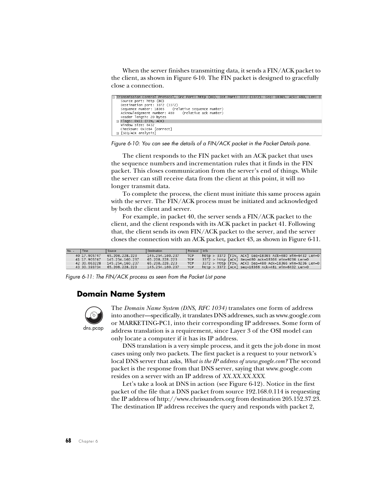When the server finishes transmitting data, it sends a FIN/ACK packet to the client, as shown in Figure 6-10. The FIN packet is designed to gracefully close a connection.

| $\Box$ Transmission Control Protocol, Src Port: http (80), Dst Port: 3372 (3372), Seq: 18365, Ack: 480, Len: 0 |
|----------------------------------------------------------------------------------------------------------------|
| Source port: http (80)                                                                                         |
| Destination port: 3372 (3372)                                                                                  |
| Sequence number: 18365 (relative sequence number)                                                              |
| Acknowledgement number: 480 (relative ack number)                                                              |
| Header length: 20 bytes                                                                                        |
| Flags: 0x11 (FIN, ACK)<br>曱                                                                                    |
| Window size: 6432                                                                                              |
| Checksum: 0x3c64 [correct]                                                                                     |
| ⊞ [SEQ/ACK analysis]                                                                                           |

*Figure 6-10: You can see the details of a FIN/ACK packet in the Packet Details pane.*

The client responds to the FIN packet with an ACK packet that uses the sequence numbers and incrementation rules that it finds in the FIN packet. This closes communication from the server's end of things. While the server can still receive data from the client at this point, it will no longer transmit data.

To complete the process, the client must initiate this same process again with the server. The FIN/ACK process must be initiated and acknowledged by both the client and server.

For example, in packet 40, the server sends a FIN/ACK packet to the client, and the client responds with its ACK packet in packet 41. Following that, the client sends its own FIN/ACK packet to the server, and the server closes the connection with an ACK packet, packet 43, as shown in Figure 6-11.

| $No. -$ | Time | Source                       | Destination     | Protocol Info |                                                         |
|---------|------|------------------------------|-----------------|---------------|---------------------------------------------------------|
|         |      | 40 17.905747 65.208.228.223  | 145.254.160.237 | <b>TCP</b>    | http > 3372 [FIN, ACK] Seg=18365 Ack=480 Win=6432 Len=0 |
|         |      | 41 17.905747 145.254.160.237 | 65.208.228.223  | <b>TCP</b>    | 3372 > http [ACK] Seg=480 Ack=18366 Win=9236 Len=0      |
|         |      | 42 30 063228 145 254 160 237 | 65.208.228.223  | <b>TCP</b>    | 3372 > http [FIN, ACK] Seq=480 Ack=18366 Win=9236 Len=0 |
|         |      | 43 30 393704 65 208 228 223  | 145.254.160.237 | <b>TCP</b>    | http > 3372 [ACK] Seg=18366 Ack=481 Win=6432 Len=0      |

*Figure 6-11: The FIN/ACK process as seen from the Packet List pane*

#### **Domain Name System**



The *Domain Name System (DNS, RFC 1034)* translates one form of address into another—specifically, it translates DNS addresses, such as www.google.com or MARKETING-PC1, into their corresponding IP addresses. Some form of address translation is a requirement, since Layer 3 of the OSI model can only locate a computer if it has its IP address.

DNS translation is a very simple process, and it gets the job done in most cases using only two packets. The first packet is a request to your network's local DNS server that asks, *What is the IP address of www.google.com?* The second packet is the response from that DNS server, saying that www.google.com resides on a server with an IP address of *XX.XX.XX.XXX*.

Let's take a look at DNS in action (see Figure 6-12). Notice in the first packet of the file that a DNS packet from source 192.168.0.114 is requesting the IP address of http://www.chrissanders.org from destination 205.152.37.23. The destination IP address receives the query and responds with packet 2,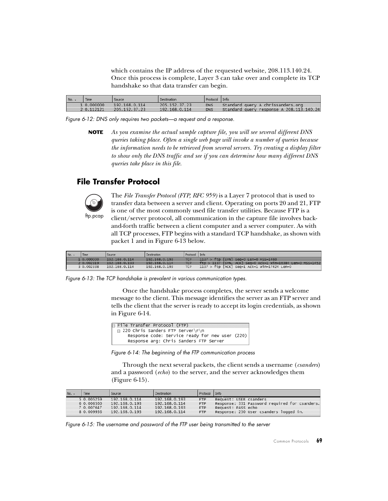which contains the IP address of the requested website, 208.113.140.24. Once this process is complete, Layer 3 can take over and complete its TCP handshake so that data transfer can begin.

| No. | Time     | Source        | <b>Destination</b> | Protocol Info |                                          |
|-----|----------|---------------|--------------------|---------------|------------------------------------------|
|     | 0.000000 | 192.168.0.114 | 205.152.37.23      | <b>DNS</b>    | Standard query A chrissanders.org        |
|     | 0.112121 |               | 192.168.0.114      | <b>DNS</b>    | Standard query response A 208.113.140.24 |

*Figure 6-12: DNS only requires two packets—a request and a response.*

**NOTE** *As you examine the actual sample capture file, you will see several different DNS queries taking place. Often a single web page will invoke a number of queries because the information needs to be retrieved from several servers. Try creating a display filter to show only the DNS traffic and see if you can determine how many different DNS queries take place in this file.* 

# **File Transfer Protocol**



The *File Transfer Protocol (FTP, RFC 959)* is a Layer 7 protocol that is used to transfer data between a server and client. Operating on ports 20 and 21, FTP is one of the most commonly used file transfer utilities. Because FTP is a client/server protocol, all communication in the capture file involves backand-forth traffic between a client computer and a server computer. As with all TCP processes, FTP begins with a standard TCP handshake, as shown with packet 1 and in Figure 6-13 below.

| No. | <b>Time</b> | <sup>1</sup> Source | Destination   | Protocol Info |                                                            |
|-----|-------------|---------------------|---------------|---------------|------------------------------------------------------------|
|     | 1, 0.000000 | 192.168.0.114       | 192.168.0.193 | <b>TCP</b>    | $1137 >$ ftp [SYN] Seq=0 Len=0 MSS=1460                    |
|     | 2 0.002319  | 192.168.0.193       | 192.168.0.114 | <b>TCP</b>    | ftp > 1137 [SYN, ACK] Seq=0 Ack=1 Win=16384 Len=0 MSS=1452 |
|     | 3 0.002338  | 192.168.0.114       | 192.168.0.193 | <b>TCP</b>    | $1137 > ftp$ $[ACK]$ $Seq=1$ $ACK=1$ $Win=17424$ $Len=0$   |

*Figure 6-13: The TCP handshake is prevalent in various communication types.*

Once the handshake process completes, the server sends a welcome message to the client. This message identifies the server as an FTP server and tells the client that the server is ready to accept its login credentials, as shown in Figure 6-14.

| ㅋ File Transfer Protocol (FTP)                  |
|-------------------------------------------------|
| □ 220 Chris Sanders FTP Server\r\n              |
| Response code: Service ready for new user (220) |
| Response arg: Chris Sanders FTP Server          |

*Figure 6-14: The beginning of the FTP communication process*

Through the next several packets, the client sends a username (*csanders*) and a password (*echo*) to the server, and the server acknowledges them (Figure 6-15).

| No. | <b>Time</b> | Source        | Destination   | Protocol Info |                                               |
|-----|-------------|---------------|---------------|---------------|-----------------------------------------------|
|     | 5 0.005259  | 192.168.0.114 | 192.168.0.193 | <b>FTP</b>    | Request: USER csanders                        |
|     | 6 0.006560  | 192.168.0.193 | 192.168.0.114 | <b>FTP</b>    | Response: 331 Password required for csanders. |
|     | 7 0.007647  | 192.168.0.114 | 192.168.0.193 | <b>FTP</b>    | Request: PASS echo                            |
|     | 8 0.009936  | 192.168.0.193 | 192.168.0.114 | <b>FTP</b>    | Response: 230 User csanders logged in.        |

*Figure 6-15: The username and password of the FTP user being transmitted to the server*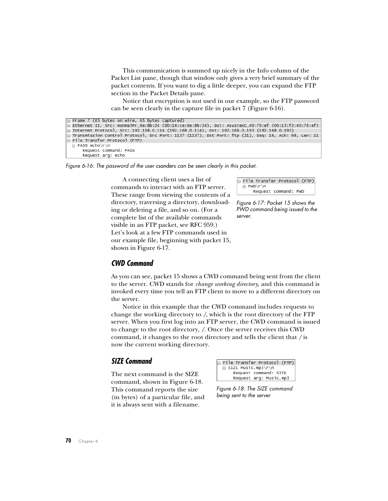This communication is summed up nicely in the Info column of the Packet List pane, though that window only gives a very brief summary of the packet contents. If you want to dig a little deeper, you can expand the FTP section in the Packet Details pane.

Notice that encryption is not used in our example, so the FTP password can be seen clearly in the capture file in packet 7 (Figure 6-16).

```
⊞ Frame 7 (65 b∨tes on wire. 65 b∨tes captured)
Ethernet II, Src: HonHaiPr_6e:8b:24 (00:16:ce:6e:8b:24), Dst: AsustekC_40:76:ef (00:15:f2:40:76:ef)
⊞ Internet Protocol, Src: 192.168.0.114 (192.168.0.114), Dst: 192.168.0.193 (192.168.0.193)
\boxplus Transmission Control Protocol, Src Port: 1137 (1137), Dst Port: ftp (21), Seq: 16, Ack: 68, Len: 11
⊟ File Transfer Protocol (FTP)
 □ PASS echo\r\n
      Request command: PASS
      Request arg: echo
```
*Figure 6-16: The password of the user* csanders *can be seen clearly in this packet.*

A connecting client uses a list of commands to interact with an FTP server. These range from viewing the contents of a directory, traversing a directory, downloading or deleting a file, and so on. (For a complete list of the available commands visible in an FTP packet, see RFC 959.) Let's look at a few FTP commands used in our example file, beginning with packet 15, shown in Figure 6-17.



*Figure 6-17: Packet 15 shows the PWD command being issued to the server.*

#### *CWD Command*

As you can see, packet 15 shows a CWD command being sent from the client to the server. CWD stands for *change working directory*, and this command is invoked every time you tell an FTP client to move to a different directory on the server.

Notice in this example that the CWD command includes requests to change the working directory to */*, which is the root directory of the FTP server. When you first log into an FTP server, the CWD command is issued to change to the root directory, */*. Once the server receives this CWD command, it changes to the root directory and tells the client that */* is now the current working directory.

#### *SIZE Command*

The next command is the SIZE command, shown in Figure 6-18. This command reports the size (in bytes) of a particular file, and it is always sent with a filename.

⊟ File Transfer Protocol (FTP) ⊟ SIZE Music.mp3\r\n Request command: SIZE Request arg: Music.mp3

*Figure 6-18: The SIZE command being sent to the server*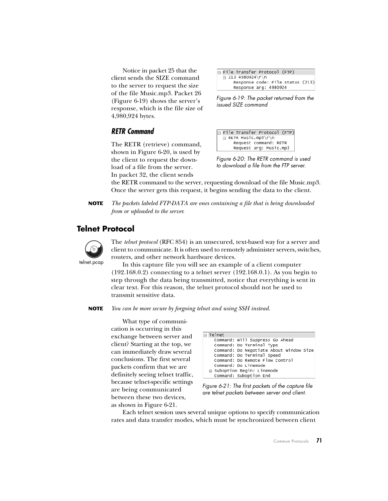Notice in packet 25 that the client sends the SIZE command to the server to request the size of the file Music.mp3. Packet 26 (Figure 6-19) shows the server's response, which is the file size of 4,980,924 bytes.

#### *RETR Command*

The RETR (retrieve) command, shown in Figure 6-20, is used by the client to request the download of a file from the server. In packet 32, the client sends

| ∃ File Transfer Protocol (FTP)   |  |
|----------------------------------|--|
| $\Box$ 213 4980924\r\n           |  |
| Response code: File status (213) |  |
| Response arg: 4980924            |  |

*Figure 6-19: The packet returned from the issued SIZE command*

| $\boxminus$ File Transfer Protocol (FTP) |
|------------------------------------------|
| <b>⊟ RETR Music.mp3\r\n</b>              |
| Request command: RETR                    |
| Request arg: Music.mp3                   |

*Figure 6-20: The RETR command is used to download a file from the FTP server.* 

the RETR command to the server, requesting download of the file Music.mp3. Once the server gets this request, it begins sending the data to the client.

**NOTE** *The packets labeled FTP-DATA are ones containing a file that is being downloaded from or uploaded to the server.* 

#### **Telnet Protocol**



The *telnet protocol* (RFC 854) is an unsecured, text-based way for a server and client to communicate. It is often used to remotely administer servers, switches, routers, and other network hardware devices.

In this capture file you will see an example of a client computer  $(192.168.0.2)$  connecting to a telnet server  $(192.168.0.1)$ . As you begin to step through the data being transmitted, notice that everything is sent in clear text. For this reason, the telnet protocol should not be used to transmit sensitive data.

**NOTE** *You can be more secure by forgoing telnet and using SSH instead.* 

What type of communication is occurring in this exchange between server and client? Starting at the top, we can immediately draw several conclusions. The first several packets confirm that we are definitely seeing telnet traffic, because telnet-specific settings are being communicated between these two devices, as shown in Figure 6-21.

| Telnet |                                         |
|--------|-----------------------------------------|
|        | Command: Will Suppress Go Ahead         |
|        | Command: Do Terminal Type               |
|        | Command: Do Negotiate About Window Size |
|        | Command: Do Terminal Speed              |
|        | Command: Do Remote Flow Control         |
|        | Command: Do Linemode                    |
|        | ⊞ Suboption Begin: Linemode             |
|        | Command: Suboption End                  |

*Figure 6-21: The first packets of the capture file are telnet packets between server and client.*

Each telnet session uses several unique options to specify communication rates and data transfer modes, which must be synchronized between client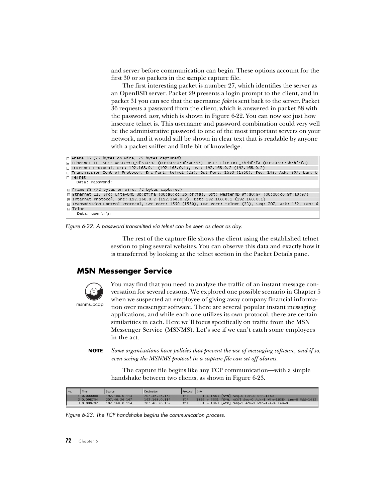and server before communication can begin. These options account for the first 30 or so packets in the sample capture file.

The first interesting packet is number 27, which identifies the server as an OpenBSD server. Packet 29 presents a login prompt to the client, and in packet 31 you can see that the username *fake* is sent back to the server. Packet 36 requests a password from the client, which is answered in packet 38 with the password *user*, which is shown in Figure 6-22. You can now see just how insecure telnet is. This username and password combination could very well be the administrative password to one of the most important servers on your network, and it would still be shown in clear text that is readable by anyone with a packet sniffer and little bit of knowledge.



*Figure 6-22: A password transmitted via telnet can be seen as clear as day.*

The rest of the capture file shows the client using the established telnet session to ping several websites. You can observe this data and exactly how it is transferred by looking at the telnet section in the Packet Details pane.

# **MSN Messenger Service**



You may find that you need to analyze the traffic of an instant message conversation for several reasons. We explored one possible scenario in Chapter 5 when we suspected an employee of giving away company financial information over messenger software. There are several popular instant messaging applications, and while each one utilizes its own protocol, there are certain similarities in each. Here we'll focus specifically on traffic from the MSN Messenger Service (MSNMS). Let's see if we can't catch some employees in the act.

**NOTE** *Some organizations have policies that prevent the use of messaging software, and if so, even seeing the MSNMS protocol in a capture file can set off alarms.* 

The capture file begins like any TCP communication—with a simple handshake between two clients, as shown in Figure 6-23.

| $No.$ . | Time       | Source        | Destination   | Protocol Info |                                                               |
|---------|------------|---------------|---------------|---------------|---------------------------------------------------------------|
|         | 1 0.000000 | 192.168.0.114 | 207.46.26.167 | <b>TCP</b>    | $3331 > 1863$ [SYN] Sea=0 Len=0 MSS=1460                      |
|         | 2 0.098754 | 207.46.26.167 | 192.168.0.114 | <b>TCP</b>    | $1863 > 3331$ [SYN, ACK] Seq=0 Ack=1 Win=16384 Len=0 MSS=1452 |
|         | 3 0.098792 | 192.168.0.114 | 207.46.26.167 | <b>TCP</b>    | $3331 > 1863$ [ACK] Seg=1 Ack=1 Win=17424 Len=0               |

*Figure 6-23: The TCP handshake begins the communication process.*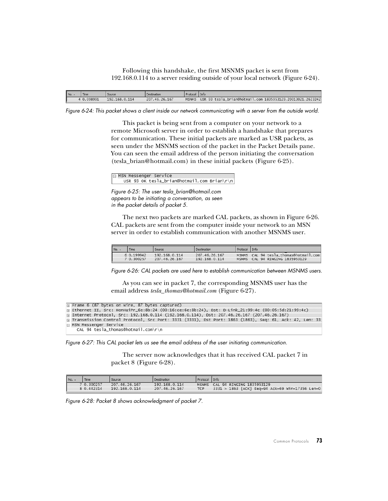Following this handshake, the first MSNMS packet is sent from 192.168.0.114 to a server residing outside of your local network (Figure 6-24).

| No. |           |               | ınatıor       | Protocol     | Info                                                       |
|-----|-----------|---------------|---------------|--------------|------------------------------------------------------------|
|     | 10.098991 | 192.168.0.114 | 207.46.26.167 | <b>MSNMS</b> | USR 93 tesla_brian@hotmail.com 1835953129.20013021.2623242 |

*Figure 6-24: This packet shows a client inside our network communicating with a server from the outside world.*

This packet is being sent from a computer on your network to a remote Microsoft server in order to establish a handshake that prepares for communication. These initial packets are marked as USR packets, as seen under the MSNMS section of the packet in the Packet Details pane. You can seen the email address of the person initiating the conversation (tesla\_brian@hotmail.com) in these initial packets (Figure 6-25).

A MSN Messenger Service USR 93 OK tesla\_brian@hotmail.com Brian\r\n

*Figure 6-25: The user tesla\_brian@hotmail.com appears to be initiating a conversation, as seen in the packet details of packet 5.*

The next two packets are marked CAL packets, as shown in Figure 6-26. CAL packets are sent from the computer inside your network to an MSN server in order to establish communication with another MSNMS user.

| No. - | 'ime                     | Source                         | Destination                    | Protocol Info |                                                                          |
|-------|--------------------------|--------------------------------|--------------------------------|---------------|--------------------------------------------------------------------------|
|       | 6 0.199942<br>7 0.300257 | 192.168.0.114<br>207.46.26.167 | 207.46.26.167<br>192.168.0.114 |               | MSNMS CAL 94 tesla thomas@hotmail.com<br>MSNMS CAL 94 RINGING 1835953129 |

*Figure 6-26: CAL packets are used here to establish communication between MSNMS users.*

As you can see in packet 7, the corresponding MSNMS user has the email address *tesla\_thomas@hotmail.com* (Figure 6-27).

| $\boxplus$ Frame 6 (87 bytes on wire, 87 bytes captured)                                                  |  |
|-----------------------------------------------------------------------------------------------------------|--|
| FFI Ethernet II, Src: HonHaiPr_6e:8b:24 (00:16:ce:6e:8b:24), Dst: D-Link_21:99:4c (00:05:5d:21:99:4c)     |  |
| (⊞ Internet Protocol, Src: 192.168.0.114 (192.168.0.114), Dst: 207.46.26.167 (207.46.26.167)              |  |
| FF Transmission Control Protocol, Src Port: 3331 (3331), Dst Port: 1863 (1863), Seq: 61, Ack: 42, Len: 33 |  |
| A MSN Messenger Service                                                                                   |  |
| CAL 94 tesla thomas@hotmail.com\r\n                                                                       |  |

*Figure 6-27: This CAL packet lets us see the email address of the user initiating communication.*

The server now acknowledges that it has received CAL packet 7 in packet 8 (Figure 6-28).

| No. | Time       | Source        | <b>Destination</b> | Protocol | l Info                                          |
|-----|------------|---------------|--------------------|----------|-------------------------------------------------|
|     | 0.300257   | 207.46.26.167 | 192.168.0.114      |          | MSNMS CAL 94 RINGING 1835953129                 |
|     | 8 0.442314 | 192.168.0.114 | 207.46.26.167      | TCP      | 3331 > 1863 [ACK] Seg=94 Ack=69 Win=17356 Len=0 |

*Figure 6-28: Packet 8 shows acknowledgment of packet 7.*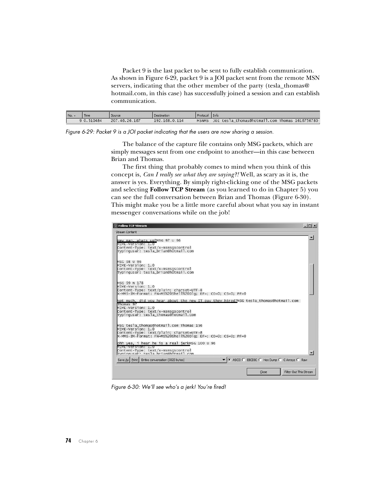Packet 9 is the last packet to be sent to fully establish communication. As shown in Figure 6-29, packet 9 is a JOI packet sent from the remote MSN servers, indicating that the other member of the party (tesla\_thomas@ hotmail.com, in this case) has successfully joined a session and can establish communication.

| No. |            | Source            | Destination   | Protocol     | l Info                                         |
|-----|------------|-------------------|---------------|--------------|------------------------------------------------|
|     | 9 0.510484 | .46.26.167<br>207 | 192.168.0.114 | <b>MSNMS</b> | JOI tesla_thomas@hotmail.com_Thomas_1616756780 |

*Figure 6-29: Packet 9 is a JOI packet indicating that the users are now sharing a session.*

The balance of the capture file contains only MSG packets, which are simply messages sent from one endpoint to another—in this case between Brian and Thomas.

The first thing that probably comes to mind when you think of this concept is, *Can I really see what they are saying?!* Well, as scary as it is, the answer is yes. Everything. By simply right-clicking one of the MSG packets and selecting **Follow TCP Stream** (as you learned to do in Chapter 5) you can see the full conversation between Brian and Thomas (Figure 6-30). This might make you be a little more careful about what you say in instant messenger conversations while on the job!

| <b>Follow TCP Stream</b>                                                                                                                                                                            | $  D  \times  $  |
|-----------------------------------------------------------------------------------------------------------------------------------------------------------------------------------------------------|------------------|
| Stream Content<br>Hev man. whats up?MSG 97 U 96                                                                                                                                                     | $\blacktriangle$ |
| MTMF-Version: 1.0<br>Content-Type: text/x-msmsgscontrol<br>TypingUser: tesla_brian@hotmail.com                                                                                                      |                  |
| MSG 98 U 96<br>MIME-Version: 1.0<br>Content-Type: text/x-msmsgscontrol<br>TypingUser: tesla_brian@hotmail.com                                                                                       |                  |
| MSG 99 N 178<br>MIME-Version: 1.0<br>Content-Type: text/plain; charset=UTF-8<br>X-MMS-IM-Format: FN=MS%20Shell%20Dlg: EF=: CO=0: CS=0: PF=0                                                         |                  |
| Not much, did you hear about the new IT guy they hired?MSG tesla_thomas@hotmail.com<br>Thomas 97<br>MIME-Version: 1.0<br>Content-Type: text/x-msmsgscontrol<br>TypingUser: tesla_thomas@hotmail.com |                  |
| MSG tesla thomas@hotmail.com Thomas 156<br>MIME-Version: 1.0<br>Content-Type: text/plain; charset=UTF-8<br>X-MMS-IM-Format: FN=MS%20Shell%20Dlq; EF=; CO=0; CS=0; PF=0                              |                  |
| ohh yea, i hear he is a real jerkmsG 100 U 96<br>MIME-Version: 1.0<br>Content-Type: text/x-msmsgscontrol<br>TypingUser: tesla brian@hotmail.com                                                     | $\blacksquare$   |
| ▼ © ASCII O EBCDIC O Hex Dump O C Arrays O Raw<br>Save As Print Entire conversation (3023 bytes)                                                                                                    |                  |
| Filter Out This Stream<br>Close                                                                                                                                                                     |                  |

*Figure 6-30: We'll see who's a jerk! You're fired!*